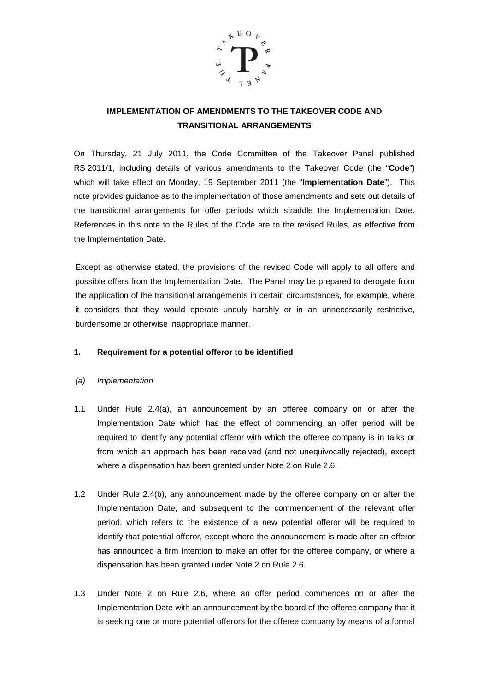

# **IMPLEMENTATION OF AMENDMENTS TO THE TAKEOVER CODE AND TRANSITIONAL ARRANGEMENTS**

On Thursday, 21 July 2011, the Code Committee of the Takeover Panel published RS 2011/1, including details of various amendments to the Takeover Code (the "**Code**") which will take effect on Monday, 19 September 2011 (the "**Implementation Date**"). This note provides guidance as to the implementation of those amendments and sets out details of the transitional arrangements for offer periods which straddle the Implementation Date. References in this note to the Rules of the Code are to the revised Rules, as effective from the Implementation Date.

Except as otherwise stated, the provisions of the revised Code will apply to all offers and possible offers from the Implementation Date. The Panel may be prepared to derogate from the application of the transitional arrangements in certain circumstances, for example, where it considers that they would operate unduly harshly or in an unnecessarily restrictive, burdensome or otherwise inappropriate manner.

## **1. Requirement for a potential offeror to be identified**

- *(a) Implementation*
- 1.1 Under Rule 2.4(a), an announcement by an offeree company on or after the Implementation Date which has the effect of commencing an offer period will be required to identify any potential offeror with which the offeree company is in talks or from which an approach has been received (and not unequivocally rejected), except where a dispensation has been granted under Note 2 on Rule 2.6.
- 1.2 Under Rule 2.4(b), any announcement made by the offeree company on or after the Implementation Date, and subsequent to the commencement of the relevant offer period, which refers to the existence of a new potential offeror will be required to identify that potential offeror, except where the announcement is made after an offeror has announced a firm intention to make an offer for the offeree company, or where a dispensation has been granted under Note 2 on Rule 2.6.
- 1.3 Under Note 2 on Rule 2.6, where an offer period commences on or after the Implementation Date with an announcement by the board of the offeree company that it is seeking one or more potential offerors for the offeree company by means of a formal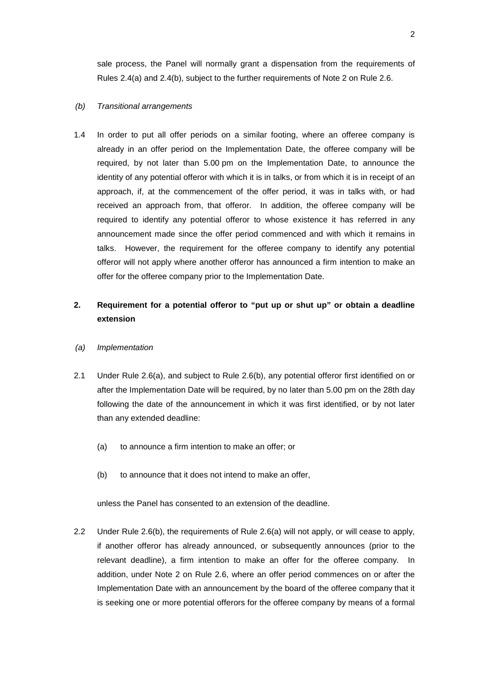sale process, the Panel will normally grant a dispensation from the requirements of Rules 2.4(a) and 2.4(b), subject to the further requirements of Note 2 on Rule 2.6.

#### *(b) Transitional arrangements*

1.4 In order to put all offer periods on a similar footing, where an offeree company is already in an offer period on the Implementation Date, the offeree company will be required, by not later than 5.00 pm on the Implementation Date, to announce the identity of any potential offeror with which it is in talks, or from which it is in receipt of an approach, if, at the commencement of the offer period, it was in talks with, or had received an approach from, that offeror. In addition, the offeree company will be required to identify any potential offeror to whose existence it has referred in any announcement made since the offer period commenced and with which it remains in talks. However, the requirement for the offeree company to identify any potential offeror will not apply where another offeror has announced a firm intention to make an offer for the offeree company prior to the Implementation Date.

## **2. Requirement for a potential offeror to "put up or shut up" or obtain a deadline extension**

- *(a) Implementation*
- 2.1 Under Rule 2.6(a), and subject to Rule 2.6(b), any potential offeror first identified on or after the Implementation Date will be required, by no later than 5.00 pm on the 28th day following the date of the announcement in which it was first identified, or by not later than any extended deadline:
	- (a) to announce a firm intention to make an offer; or
	- (b) to announce that it does not intend to make an offer,

unless the Panel has consented to an extension of the deadline.

2.2 Under Rule 2.6(b), the requirements of Rule 2.6(a) will not apply, or will cease to apply, if another offeror has already announced, or subsequently announces (prior to the relevant deadline), a firm intention to make an offer for the offeree company. In addition, under Note 2 on Rule 2.6, where an offer period commences on or after the Implementation Date with an announcement by the board of the offeree company that it is seeking one or more potential offerors for the offeree company by means of a formal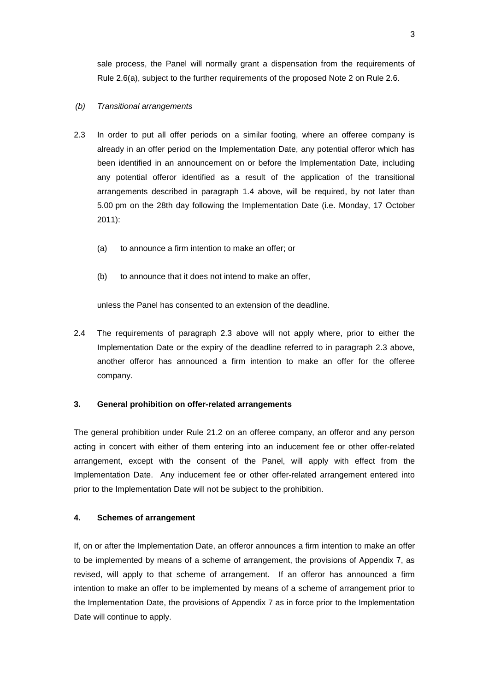sale process, the Panel will normally grant a dispensation from the requirements of Rule 2.6(a), subject to the further requirements of the proposed Note 2 on Rule 2.6.

#### *(b) Transitional arrangements*

- 2.3 In order to put all offer periods on a similar footing, where an offeree company is already in an offer period on the Implementation Date, any potential offeror which has been identified in an announcement on or before the Implementation Date, including any potential offeror identified as a result of the application of the transitional arrangements described in paragraph 1.4 above, will be required, by not later than 5.00 pm on the 28th day following the Implementation Date (i.e. Monday, 17 October 2011):
	- (a) to announce a firm intention to make an offer; or
	- (b) to announce that it does not intend to make an offer,

unless the Panel has consented to an extension of the deadline.

2.4 The requirements of paragraph 2.3 above will not apply where, prior to either the Implementation Date or the expiry of the deadline referred to in paragraph 2.3 above, another offeror has announced a firm intention to make an offer for the offeree company.

#### **3. General prohibition on offer-related arrangements**

The general prohibition under Rule 21.2 on an offeree company, an offeror and any person acting in concert with either of them entering into an inducement fee or other offer-related arrangement, except with the consent of the Panel, will apply with effect from the Implementation Date. Any inducement fee or other offer-related arrangement entered into prior to the Implementation Date will not be subject to the prohibition.

## **4. Schemes of arrangement**

If, on or after the Implementation Date, an offeror announces a firm intention to make an offer to be implemented by means of a scheme of arrangement, the provisions of Appendix 7, as revised, will apply to that scheme of arrangement. If an offeror has announced a firm intention to make an offer to be implemented by means of a scheme of arrangement prior to the Implementation Date, the provisions of Appendix 7 as in force prior to the Implementation Date will continue to apply.